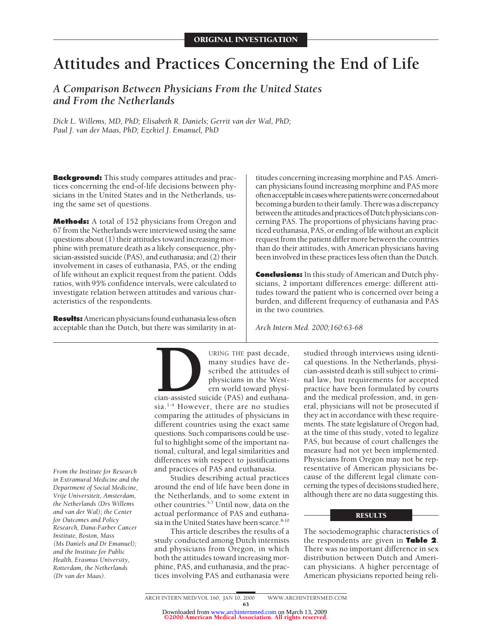# **Attitudes and Practices Concerning the End of Life**

*A Comparison Between Physicians From the United States and From the Netherlands*

*Dick L. Willems, MD, PhD; Elisabeth R. Daniels; Gerrit van der Wal, PhD; Paul J. van der Maas, PhD; Ezekiel J. Emanuel, PhD*

**Background:** This study compares attitudes and practices concerning the end-of-life decisions between physicians in the United States and in the Netherlands, using the same set of questions.

**Methods:** A total of 152 physicians from Oregon and 67 from the Netherlands were interviewed using the same questions about (1) their attitudes toward increasing morphine with premature death as a likely consequence, physician-assisted suicide (PAS), and euthanasia; and (2) their involvement in cases of euthanasia, PAS, or the ending of life without an explicit request from the patient. Odds ratios, with 95% confidence intervals, were calculated to investigate relation between attitudes and various characteristics of the respondents.

**Results:**American physicians found euthanasia less often acceptable than the Dutch, but there was similarity in attitudes concerning increasing morphine and PAS. American physicians found increasing morphine and PAS more often acceptable in cases where patients were concerned about becoming a burden to their family. There was a discrepancy between the attitudes and practices of Dutch physicians concerning PAS. The proportions of physicians having practiced euthanasia, PAS, or ending of life without an explicit request from the patient differ more between the countries than do their attitudes, with American physicians having been involved in these practices less often than the Dutch.

**Conclusions:** In this study of American and Dutch physicians, 2 important differences emerge: different attitudes toward the patient who is concerned over being a burden, and different frequency of euthanasia and PAS in the two countries.

*Arch Intern Med. 2000;160:63-68*

*From the Institute for Research in Extramural Medicine and the Department of Social Medicine, Vrije Universiteit, Amsterdam, the Netherlands (Drs Willems and van der Wal); the Center for Outcomes and Policy Research, Dana-Farber Cancer Institute, Boston, Mass (Ms Daniels and Dr Emanuel); and the Institute for Public Health, Erasmus University, Rotterdam, the Netherlands (Dr van der Maas).*

URING THE past decade,<br>
many studies have de-<br>
scribed the attitudes of<br>
physicians in the West-<br>
ern world toward physi-<br>
cian-assisted suicide (PAS) and euthana-<br>
sia.<sup>1-4</sup> However, there are no studies many studies have described the attitudes of physicians in the Western world toward physi-

cian-assisted suicide (PAS) and euthanasia.<sup>1-4</sup> However, there are no studies comparing the attitudes of physicians in different countries using the exact same questions. Such comparisons could be useful to highlight some of the important national, cultural, and legal similarities and differences with respect to justifications and practices of PAS and euthanasia.

Studies describing actual practices around the end of life have been done in the Netherlands, and to some extent in other countries.5-7 Until now, data on the actual performance of PAS and euthanasia in the United States have been scarce.<sup>8-10</sup>

This article describes the results of a study conducted among Dutch internists and physicians from Oregon, in which both the attitudes toward increasing morphine, PAS, and euthanasia, and the practices involving PAS and euthanasia were

studied through interviews using identical questions. In the Netherlands, physician-assisted death is still subject to criminal law, but requirements for accepted practice have been formulated by courts and the medical profession, and, in general, physicians will not be prosecuted if they act in accordance with these requirements. The state legislature of Oregon had, at the time of this study, voted to legalize PAS, but because of court challenges the measure had not yet been implemented. Physicians from Oregon may not be representative of American physicians because of the different legal climate concerning the types of decisions studied here, although there are no data suggesting this.

## RESULTS

The sociodemographic characteristics of the respondents are given in **Table 2**. There was no important difference in sex distribution between Dutch and American physicians. A higher percentage of American physicians reported being reli-

ARCH INTERN MED/ VOL 160, JAN 10, 2000 WWW.ARCHINTERNMED.COM 63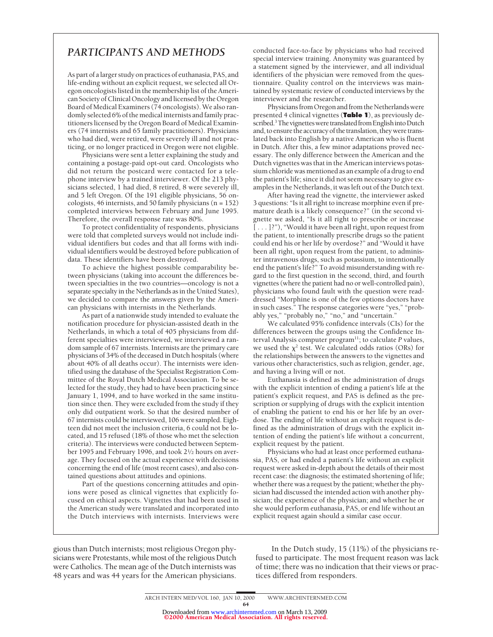## *PARTICIPANTS AND METHODS*

As part of a larger study on practices of euthanasia, PAS, and life-ending without an explicit request, we selected all Oregon oncologists listed in the membership list of the American Society of Clinical Oncology and licensed by the Oregon Board of Medical Examiners (74 oncologists). We also randomly selected 6% of the medical internists and family practitioners licensed by the Oregon Board of Medical Examiners (74 internists and 65 family practitioners). Physicians who had died, were retired, were severely ill and not practicing, or no longer practiced in Oregon were not eligible.

Physicians were sent a letter explaining the study and containing a postage-paid opt-out card. Oncologists who did not return the postcard were contacted for a telephone interview by a trained interviewer. Of the 213 physicians selected, 1 had died, 8 retired, 8 were severely ill, and 5 left Oregon. Of the 191 eligible physicians, 56 oncologists, 46 internists, and 50 family physicians (n = 152) completed interviews between February and June 1995. Therefore, the overall response rate was 80%.

To protect confidentiality of respondents, physicians were told that completed surveys would not include individual identifiers but codes and that all forms with individual identifiers would be destroyed before publication of data. These identifiers have been destroyed.

To achieve the highest possible comparability between physicians (taking into account the differences between specialties in the two countries—oncology is not a separate specialty in the Netherlands as in the United States), we decided to compare the answers given by the American physicians with internists in the Netherlands.

As part of a nationwide study intended to evaluate the notification procedure for physician-assisted death in the Netherlands, in which a total of 405 physicians from different specialties were interviewed, we interviewed a random sample of 67 internists. Internists are the primary care physicians of 34% of the deceased in Dutch hospitals (where about 40% of all deaths occur). The internists were identified using the database of the Specialist Registration Committee of the Royal Dutch Medical Association. To be selected for the study, they had to have been practicing since January 1, 1994, and to have worked in the same institution since then. They were excluded from the study if they only did outpatient work. So that the desired number of 67 internists could be interviewed, 106 were sampled. Eighteen did not meet the inclusion criteria, 6 could not be located, and 15 refused (18% of those who met the selection criteria). The interviews were conducted between September 1995 and February 1996, and took 21⁄2 hours on average. They focused on the actual experience with decisions concerning the end of life (most recent cases), and also contained questions about attitudes and opinions.

Part of the questions concerning attitudes and opinions were posed as clinical vignettes that explicitly focused on ethical aspects. Vignettes that had been used in the American study were translated and incorporated into the Dutch interviews with internists. Interviews were conducted face-to-face by physicians who had received special interview training. Anonymity was guaranteed by a statement signed by the interviewer, and all individual identifiers of the physician were removed from the questionnaire. Quality control on the interviews was maintained by systematic review of conducted interviews by the interviewer and the researcher.

Physicians from Oregon and from the Netherlands were presented 4 clinical vignettes (**Table 1**), as previously described.<sup>3</sup> The vignettes were translated from English into Dutch and, to ensure the accuracy of the translation, they were translated back into English by a native American who is fluent in Dutch. After this, a few minor adaptations proved necessary. The only difference between the American and the Dutch vignettes was that in the American interviews potassium chloride was mentioned as an example of a drug to end the patient's life; since it did not seem necessary to give examples in the Netherlands, it was left out of the Dutch text.

After having read the vignette, the interviewer asked 3 questions: "Is it all right to increase morphine even if premature death is a likely consequence?" (in the second vignette we asked, "Is it all right to prescribe or increase ... ]?"), "Would it have been all right, upon request from the patient, to intentionally prescribe drugs so the patient could end his or her life by overdose?" and "Would it have been all right, upon request from the patient, to administer intravenous drugs, such as potassium, to intentionally end the patient's life?" To avoid misunderstanding with regard to the first question in the second, third, and fourth vignettes (where the patient had no or well-controlled pain), physicians who found fault with the question were readdressed "Morphine is one of the few options doctors have in such cases." The response categories were "yes," "probably yes," "probably no," "no," and "uncertain."

We calculated 95% confidence intervals (CIs) for the differences between the groups using the Confidence Interval Analysis computer program<sup>11</sup>; to calculate P values, we used the  $\chi^2$  test. We calculated odds ratios (ORs) for the relationships between the answers to the vignettes and various other characteristics, such as religion, gender, age, and having a living will or not.

Euthanasia is defined as the administration of drugs with the explicit intention of ending a patient's life at the patient's explicit request, and PAS is defined as the prescription or supplying of drugs with the explicit intention of enabling the patient to end his or her life by an overdose. The ending of life without an explicit request is defined as the administration of drugs with the explicit intention of ending the patient's life without a concurrent, explicit request by the patient.

Physicians who had at least once performed euthanasia, PAS, or had ended a patient's life without an explicit request were asked in-depth about the details of their most recent case: the diagnosis; the estimated shortening of life; whether there was a request by the patient; whether the physician had discussed the intended action with another physician; the experience of the physician; and whether he or she would perform euthanasia, PAS, or end life without an explicit request again should a similar case occur.

gious than Dutch internists; most religious Oregon physicians were Protestants, while most of the religious Dutch were Catholics. The mean age of the Dutch internists was 48 years and was 44 years for the American physicians.

In the Dutch study, 15 (11%) of the physicians refused to participate. The most frequent reason was lack of time; there was no indication that their views or practices differed from responders.

Downloaded from [www.archinternmed.com](http://www.archinternmed.com) on March 13, 2009 © 2000 American Medical Association. All rights reserved.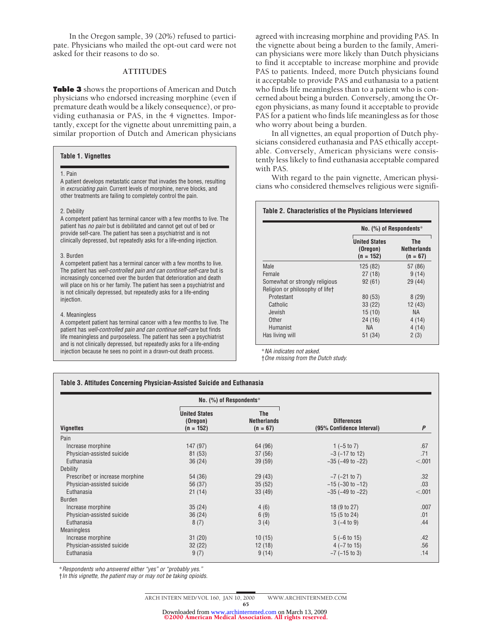In the Oregon sample, 39 (20%) refused to participate. Physicians who mailed the opt-out card were not asked for their reasons to do so.

## **ATTITUDES**

**Table 3** shows the proportions of American and Dutch physicians who endorsed increasing morphine (even if premature death would be a likely consequence), or providing euthanasia or PAS, in the 4 vignettes. Importantly, except for the vignette about unremitting pain, a similar proportion of Dutch and American physicians

## **Table 1. Vignettes**

## 1. Pain

A patient develops metastatic cancer that invades the bones, resulting in *excruciating pain*. Current levels of morphine, nerve blocks, and other treatments are failing to completely control the pain.

#### 2. Debility

A competent patient has terminal cancer with a few months to live. The patient has no pain but is debilitated and cannot get out of bed or provide self-care. The patient has seen a psychiatrist and is not clinically depressed, but repeatedly asks for a life-ending injection.

#### 3. Burden

A competent patient has a terminal cancer with a few months to live. The patient has well-controlled pain and can continue self-care but is increasingly concerned over the burden that deterioration and death will place on his or her family. The patient has seen a psychiatrist and is not clinically depressed, but repeatedly asks for a life-ending injection.

#### 4. Meaningless

A competent patient has terminal cancer with a few months to live. The patient has well-controlled pain and can continue self-care but finds life meaningless and purposeless. The patient has seen a psychiatrist and is not clinically depressed, but repeatedly asks for a life-ending injection because he sees no point in a drawn-out death process.

agreed with increasing morphine and providing PAS. In the vignette about being a burden to the family, American physicians were more likely than Dutch physicians to find it acceptable to increase morphine and provide PAS to patients. Indeed, more Dutch physicians found it acceptable to provide PAS and euthanasia to a patient who finds life meaningless than to a patient who is concerned about being a burden. Conversely, among the Oregon physicians, as many found it acceptable to provide PAS for a patient who finds life meaningless as for those who worry about being a burden.

In all vignettes, an equal proportion of Dutch physicians considered euthanasia and PAS ethically acceptable. Conversely, American physicians were consistently less likely to find euthanasia acceptable compared with PAS.

With regard to the pain vignette, American physicians who considered themselves religious were signifi-

## **Table 2. Characteristics of the Physicians Interviewed**

|                                 | No. $(%)$ of Respondents*                       |                                         |  |
|---------------------------------|-------------------------------------------------|-----------------------------------------|--|
|                                 | <b>United States</b><br>(Oregon)<br>$(n = 152)$ | The<br><b>Netherlands</b><br>$(n = 67)$ |  |
| Male                            | 125(82)                                         | 57 (86)                                 |  |
| Female                          | 27(18)                                          | 9(14)                                   |  |
| Somewhat or strongly religious  | 92(61)                                          | 29 (44)                                 |  |
| Religion or philosophy of lifet |                                                 |                                         |  |
| Protestant                      | 80(53)                                          | 8(29)                                   |  |
| Catholic                        | 33(22)                                          | 12(43)                                  |  |
| Jewish                          | 15(10)                                          | NA.                                     |  |
| Other                           | 24(16)                                          | 4(14)                                   |  |
| <b>Humanist</b>                 | NA                                              | 4(14)                                   |  |
| Has living will                 | 51 (34)                                         | 2(3)                                    |  |

\*NA indicates not asked.

†One missing from the Dutch study.

## **Table 3. Attitudes Concerning Physician-Assisted Suicide and Euthanasia**

|                                 | No. (%) of Respondents*                         |                                                |                                                 |        |
|---------------------------------|-------------------------------------------------|------------------------------------------------|-------------------------------------------------|--------|
| <b>Vignettes</b>                | <b>United States</b><br>(Oregon)<br>$(n = 152)$ | <b>The</b><br><b>Netherlands</b><br>$(n = 67)$ | <b>Differences</b><br>(95% Confidence Interval) | P      |
| Pain                            |                                                 |                                                |                                                 |        |
| Increase morphine               | 147 (97)                                        | 64 (96)                                        | $1 (-5 to 7)$                                   | .67    |
| Physician-assisted suicide      | 81(53)                                          | 37(56)                                         | $-3$ ( $-17$ to 12)                             | .71    |
| Euthanasia                      | 36(24)                                          | 39(59)                                         | $-35$ ( $-49$ to $-22$ )                        | < .001 |
| Debility                        |                                                 |                                                |                                                 |        |
| Prescribe† or increase morphine | 54 (36)                                         | 29(43)                                         | $-7$ ( $-21$ to $7$ )                           | .32    |
| Physician-assisted suicide      | 56 (37)                                         | 35(52)                                         | $-15$ ( $-30$ to $-12$ )                        | .03    |
| Euthanasia                      | 21(14)                                          | 33(49)                                         | $-35$ ( $-49$ to $-22$ )                        | < .001 |
| <b>Burden</b>                   |                                                 |                                                |                                                 |        |
| Increase morphine               | 35(24)                                          | 4(6)                                           | 18 (9 to 27)                                    | .007   |
| Physician-assisted suicide      | 36(24)                                          | 6(9)                                           | 15 (5 to 24)                                    | .01    |
| Euthanasia                      | 8(7)                                            | 3(4)                                           | $3(-4 to 9)$                                    | .44    |
| <b>Meaningless</b>              |                                                 |                                                |                                                 |        |
| Increase morphine               | 31(20)                                          | 10(15)                                         | $5(-6 to 15)$                                   | .42    |
| Physician-assisted suicide      | 32(22)                                          | 12(18)                                         | $4$ ( $-7$ to 15)                               | .56    |
| Euthanasia                      | 9(7)                                            | 9(14)                                          | $-7$ ( $-15$ to 3)                              | .14    |

\*Respondents who answered either "yes" or "probably yes."

†In this vignette, the patient may or may not be taking opioids.

Downloaded from [www.archinternmed.com](http://www.archinternmed.com) on March 13, 2009 © 2000 American Medical Association. All rights reserved.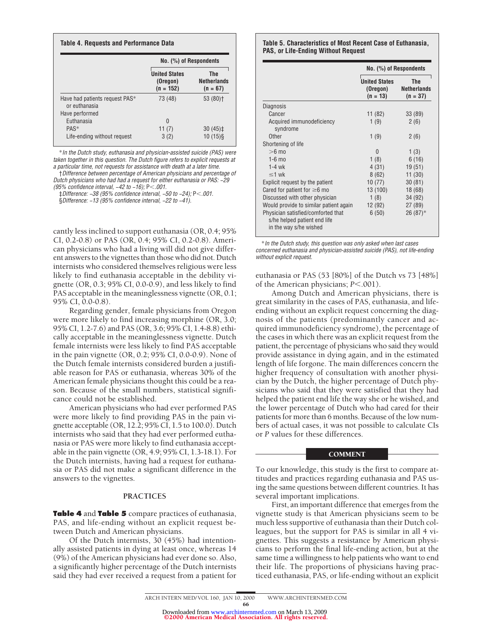|                                                                   | No. (%) of Respondents                          |                                                |  |
|-------------------------------------------------------------------|-------------------------------------------------|------------------------------------------------|--|
|                                                                   | <b>United States</b><br>(Oregon)<br>$(n = 152)$ | <b>The</b><br><b>Netherlands</b><br>$(n = 67)$ |  |
| Have had patients request PAS*<br>or euthanasia<br>Have performed | 73 (48)                                         | 53 (80) <sup>†</sup>                           |  |
| Euthanasia                                                        | $\Omega$                                        |                                                |  |
| PAS*                                                              | 11 $(7)$                                        | 30(45)                                         |  |
| Life-ending without request                                       | 3(2)                                            | $10(15)$ §                                     |  |

\*In the Dutch study, euthanasia and physician-assisted suicide (PAS) were taken together in this question. The Dutch figure refers to explicit requests at <sup>a</sup> particular time, not requests for assistance with death at <sup>a</sup> later time. †Difference between percentage of American physicians and percentage of

Dutch physicians who had had <sup>a</sup> request for either euthanasia or PAS: −29 (95% confidence interval, -42 to -16); P<.001.

‡Difference: −38 (95% confidence interval, −50 to −24); P,.001. §Difference: −13 (95% confidence interval, −22 to −41).

cantly less inclined to support euthanasia (OR, 0.4; 95% CI, 0.2-0.8) or PAS (OR, 0.4; 95% CI, 0.2-0.8). American physicians who had a living will did not give different answers to the vignettes than those who did not. Dutch internists who considered themselves religious were less likely to find euthanasia acceptable in the debility vignette (OR, 0.3; 95% CI, 0.0-0.9), and less likely to find PAS acceptable in the meaninglessness vignette (OR, 0.1; 95% CI, 0.0-0.8).

Regarding gender, female physicians from Oregon were more likely to find increasing morphine (OR, 3.0; 95% CI, 1.2-7.6) and PAS (OR, 3.6; 95% CI, 1.4-8.8) ethically acceptable in the meaninglessness vignette. Dutch female internists were less likely to find PAS acceptable in the pain vignette (OR, 0.2; 95% CI, 0.0-0.9). None of the Dutch female internists considered burden a justifiable reason for PAS or euthanasia, whereas 30% of the American female physicians thought this could be a reason. Because of the small numbers, statistical significance could not be established.

American physicians who had ever performed PAS were more likely to find providing PAS in the pain vignette acceptable (OR, 12.2; 95% CI, 1.5 to 100.0). Dutch internists who said that they had ever performed euthanasia or PAS were more likely to find euthanasia acceptable in the pain vignette (OR, 4.9; 95% CI, 1.3-18.1). For the Dutch internists, having had a request for euthanasia or PAS did not make a significant difference in the answers to the vignettes.

## **PRACTICES**

**Table 4** and **Table 5** compare practices of euthanasia, PAS, and life-ending without an explicit request between Dutch and American physicians.

Of the Dutch internists, 30 (45%) had intentionally assisted patients in dying at least once, whereas 14 (9%) of the American physicians had ever done so. Also, a significantly higher percentage of the Dutch internists said they had ever received a request from a patient for

## **Table 5. Characteristics of Most Recent Case of Euthanasia, PAS, or Life-Ending Without Request**

|                                                                                              | No. (%) of Respondents                         |                                         |  |
|----------------------------------------------------------------------------------------------|------------------------------------------------|-----------------------------------------|--|
|                                                                                              | <b>United States</b><br>(Oregon)<br>$(n = 13)$ | The<br><b>Netherlands</b><br>$(n = 37)$ |  |
| Diagnosis                                                                                    |                                                |                                         |  |
| Cancer                                                                                       | 11 (82)                                        | 33 (89)                                 |  |
| Acquired immunodeficiency<br>syndrome                                                        | 1(9)                                           | 2(6)                                    |  |
| <b>Other</b>                                                                                 | 1(9)                                           | 2(6)                                    |  |
| Shortening of life                                                                           |                                                |                                         |  |
| $>6$ mo                                                                                      | 0                                              | 1(3)                                    |  |
| $1-6$ mo                                                                                     | 1(8)                                           | 6(16)                                   |  |
| $1-4$ wk                                                                                     | 4(31)                                          | 19(51)                                  |  |
| $\leq 1$ wk                                                                                  | 8(62)                                          | 11(30)                                  |  |
| Explicit request by the patient                                                              | 10(77)                                         | 30(81)                                  |  |
| Cared for patient for $\geq 6$ mo                                                            | 13 (100)                                       | 18(68)                                  |  |
| Discussed with other physician                                                               | 1(8)                                           | 34 (92)                                 |  |
| Would provide to similar patient again                                                       | 12 (92)                                        | 27 (89)                                 |  |
| Physician satisfied/comforted that<br>s/he helped patient end life<br>in the way s/he wished | 6(50)                                          | $26(87)$ *                              |  |

\*In the Dutch study, this question was only asked when last cases concerned euthanasia and physician-assisted suicide (PAS), not life-ending without explicit request.

euthanasia or PAS (53 [80%] of the Dutch vs 73 [48%] of the American physicians;  $P < .001$ ).

Among Dutch and American physicians, there is great similarity in the cases of PAS, euthanasia, and lifeending without an explicit request concerning the diagnosis of the patients (predominantly cancer and acquired immunodeficiency syndrome), the percentage of the cases in which there was an explicit request from the patient, the percentage of physicians who said they would provide assistance in dying again, and in the estimated length of life forgone. The main differences concern the higher frequency of consultation with another physician by the Dutch, the higher percentage of Dutch physicians who said that they were satisfied that they had helped the patient end life the way she or he wished, and the lower percentage of Dutch who had cared for their patients for more than 6 months. Because of the low numbers of actual cases, it was not possible to calculate CIs or *P* values for these differences.

## **COMMENT**

To our knowledge, this study is the first to compare attitudes and practices regarding euthanasia and PAS using the same questions between different countries. It has several important implications.

First, an important difference that emerges from the vignette study is that American physicians seem to be much less supportive of euthanasia than their Dutch colleagues, but the support for PAS is similar in all 4 vignettes. This suggests a resistance by American physicians to perform the final life-ending action, but at the same time a willingness to help patients who want to end their life. The proportions of physicians having practiced euthanasia, PAS, or life-ending without an explicit

ARCH INTERN MED/ VOL 160, JAN 10, 2000 WWW.ARCHINTERNMED.COM 66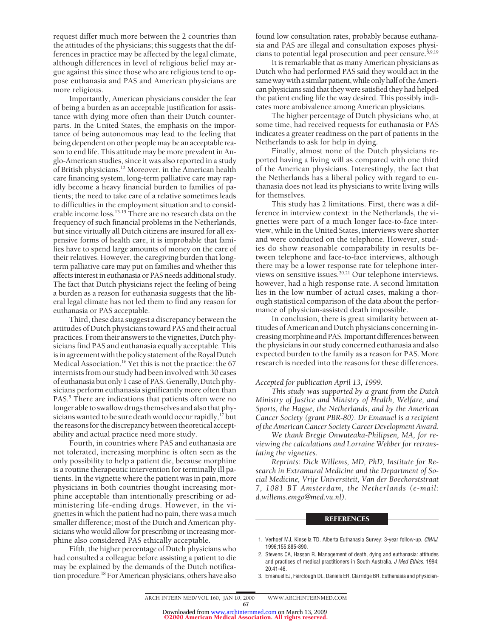request differ much more between the 2 countries than the attitudes of the physicians; this suggests that the differences in practice may be affected by the legal climate, although differences in level of religious belief may argue against this since those who are religious tend to oppose euthanasia and PAS and American physicians are more religious.

Importantly, American physicians consider the fear of being a burden as an acceptable justification for assistance with dying more often than their Dutch counterparts. In the United States, the emphasis on the importance of being autonomous may lead to the feeling that being dependent on other people may be an acceptable reason to end life. This attitude may be more prevalent in Anglo-American studies, since it was also reported in a study of British physicians.12 Moreover, in the American health care financing system, long-term palliative care may rapidly become a heavy financial burden to families of patients; the need to take care of a relative sometimes leads to difficulties in the employment situation and to considerable income loss.13-15 There are no research data on the frequency of such financial problems in the Netherlands, but since virtually all Dutch citizens are insured for all expensive forms of health care, it is improbable that families have to spend large amounts of money on the care of their relatives. However, the caregiving burden that longterm palliative care may put on families and whether this affects interest in euthanasia or PAS needs additional study. The fact that Dutch physicians reject the feeling of being a burden as a reason for euthanasia suggests that the liberal legal climate has not led them to find any reason for euthanasia or PAS acceptable.

Third, these data suggest a discrepancy between the attitudes of Dutch physicians toward PAS and their actual practices. From their answers to the vignettes, Dutch physicians find PAS and euthanasia equally acceptable. This is in agreement with the policy statement of the Royal Dutch Medical Association.<sup>16</sup> Yet this is not the practice: the 67 internists from our study had been involved with 30 cases of euthanasia but only 1 case of PAS. Generally, Dutch physicians perform euthanasia significantly more often than PAS.<sup>5</sup> There are indications that patients often were no longer able to swallow drugs themselves and also that physicians wanted to be sure death would occur rapidly,<sup>17</sup> but the reasons for the discrepancy between theoretical acceptability and actual practice need more study.

Fourth, in countries where PAS and euthanasia are not tolerated, increasing morphine is often seen as the only possibility to help a patient die, because morphine is a routine therapeutic intervention for terminally ill patients. In the vignette where the patient was in pain, more physicians in both countries thought increasing morphine acceptable than intentionally prescribing or administering life-ending drugs. However, in the vignettes in which the patient had no pain, there was a much smaller difference; most of the Dutch and American physicians who would allow for prescribing or increasing morphine also considered PAS ethically acceptable.

Fifth, the higher percentage of Dutch physicians who had consulted a colleague before assisting a patient to die may be explained by the demands of the Dutch notification procedure.18 For American physicians, others have also

found low consultation rates, probably because euthanasia and PAS are illegal and consultation exposes physicians to potential legal prosecution and peer censure.<sup>8,9,19</sup>

It is remarkable that as many American physicians as Dutch who had performed PAS said they would act in the same way with a similar patient, while only half of the American physicians said that they were satisfied they had helped the patient ending life the way desired. This possibly indicates more ambivalence among American physicians.

The higher percentage of Dutch physicians who, at some time, had received requests for euthanasia or PAS indicates a greater readiness on the part of patients in the Netherlands to ask for help in dying.

Finally, almost none of the Dutch physicians reported having a living will as compared with one third of the American physicians. Interestingly, the fact that the Netherlands has a liberal policy with regard to euthanasia does not lead its physicians to write living wills for themselves.

This study has 2 limitations. First, there was a difference in interview context: in the Netherlands, the vignettes were part of a much longer face-to-face interview, while in the United States, interviews were shorter and were conducted on the telephone. However, studies do show reasonable comparability in results between telephone and face-to-face interviews, although there may be a lower response rate for telephone interviews on sensitive issues.<sup>20,21</sup> Our telephone interviews, however, had a high response rate. A second limitation lies in the low number of actual cases, making a thorough statistical comparison of the data about the performance of physician-assisted death impossible.

In conclusion, there is great similarity between attitudes of American and Dutch physicians concerning increasing morphine and PAS. Important differences between the physicians in our study concerned euthanasia and also expected burden to the family as a reason for PAS. More research is needed into the reasons for these differences.

## *Accepted for publication April 13, 1999.*

*This study was supported by a grant from the Dutch Ministry of Justice and Ministry of Health, Welfare, and Sports, the Hague, the Netherlands, and by the American Cancer Society (grant PBR-80). Dr Emanuel is a recipient of the American Cancer Society Career Development Award.*

*We thank Bregje Onwuteaka-Philipsen, MA, for reviewing the calculations and Lorraine Webber for retranslating the vignettes.*

*Reprints: Dick Willems, MD, PhD, Institute for Research in Extramural Medicine and the Department of Social Medicine, Vrije Universiteit, Van der Boechorststraat 7, 1081 BT Amsterdam, the Netherlands (e-mail: d.willems.emgo@med.vu.nl).*

## **REFERENCES**

- 1. Verhoef MJ, Kinsella TD. Alberta Euthanasia Survey: 3-year follow-up. CMAJ. 1996;155:885-890.
- 2. Stevens CA, Hassan R. Management of death, dying and euthanasia: attitudes and practices of medical practitioners in South Australia. J Med Ethics. 1994; 20:41-46.
- 3. Emanuel EJ, Fairclough DL, Daniels ER, Clarridge BR. Euthanasia and physician-